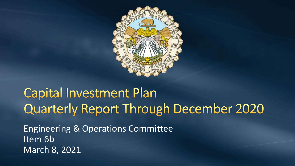

## **Capital Investment Plan Quarterly Report Through December 2020**

Engineering & Operations Committee Item 6b March 8, 2021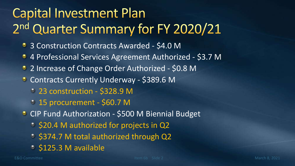# **Capital Investment Plan** 2nd Quarter Summary for FY 2020/21

- 3 Construction Contracts Awarded \$4.0 M
- 4 Professional Services Agreement Authorized \$3.7 M
- 2 Increase of Change Order Authorized \$0.8 M
- **C** Contracts Currently Underway \$389.6 M
	- 23 construction \$328.9 M
	- 15 procurement \$60.7 M
- **CIP Fund Authorization \$500 M Biennial Budget** 
	- **S20.4 M authorized for projects in Q2**
	- $\circ$  \$374.7 M total authorized through Q2
	- $\therefore$  \$125.3 M available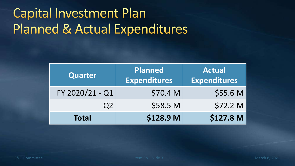# **Capital Investment Plan** Planned & Actual Expenditures

| <b>Quarter</b>  | <b>Planned</b><br><b>Expenditures</b> | <b>Actual</b><br>Expenditures |
|-----------------|---------------------------------------|-------------------------------|
| FY 2020/21 - Q1 | \$70.4 M                              | \$55.6 M                      |
| O2              | \$58.5 M                              | \$72.2 M                      |
| <b>Total</b>    | \$128.9 M                             | \$127.8 M                     |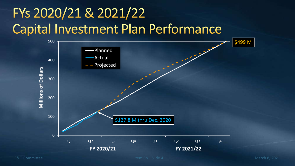# FYs 2020/21 & 2021/22 Capital Investment Plan Performance

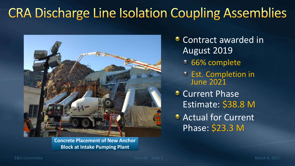## **CRA Discharge Line Isolation Coupling Assemblies**



**Concrete Placement of New Anchor Block at Intake Pumping Plant**

**Contract awarded in** August 2019

- 66% complete
- Est. Completion in June 2021
- **Current Phase** Estimate: \$38.8 M
- **C** Actual for Current Phase: \$23.3 M

E&O Committee **Item 6b** Slide 5 March 8, 2021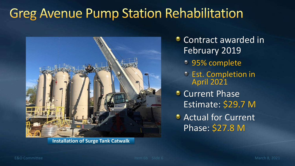### **Greg Avenue Pump Station Rehabilitation**



**Installation of Surge Tank Catwalk**

**Contract awarded in** February 2019

- 95% complete
- Est. Completion in April 2021
- **Current Phase** Estimate: \$29.7 M
- **C** Actual for Current Phase: \$27.8 M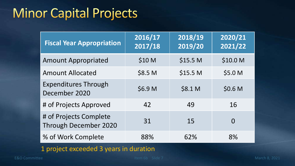### **Minor Capital Projects**

| <b>Fiscal Year Appropriation</b>                | 2016/17<br>2017/18 | 2018/19<br>2019/20 | 2020/21<br>2021/22 |
|-------------------------------------------------|--------------------|--------------------|--------------------|
| <b>Amount Appropriated</b>                      | \$10 M             | \$15.5 M           | \$10.0 M           |
| <b>Amount Allocated</b>                         | \$8.5 M            | \$15.5 M           | \$5.0 M            |
| <b>Expenditures Through</b><br>December 2020    | \$6.9 M            | \$8.1 M            | \$0.6 <sub>M</sub> |
| # of Projects Approved                          | 42                 | 49                 | 16                 |
| # of Projects Complete<br>Through December 2020 | 31                 | 15                 | $\Omega$           |
| % of Work Complete                              | 88%                | 62%                | 8%                 |

1 project exceeded 3 years in duration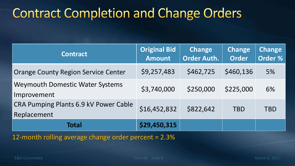### **Contract Completion and Change Orders**

| <b>Contract</b>                                       | <b>Original Bid</b><br><b>Amount</b> | <b>Change</b><br><b>Order Auth.</b> | <b>Change</b><br><b>Order</b> | <b>Change</b><br>Order % |
|-------------------------------------------------------|--------------------------------------|-------------------------------------|-------------------------------|--------------------------|
| <b>Orange County Region Service Center</b>            | \$9,257,483                          | \$462,725                           | \$460,136                     | 5%                       |
| <b>Weymouth Domestic Water Systems</b><br>Improvement | \$3,740,000                          | \$250,000                           | \$225,000                     | 6%                       |
| CRA Pumping Plants 6.9 kV Power Cable<br>Replacement  | \$16,452,832                         | \$822,642                           | TBD                           | TBD                      |
| Total                                                 | \$29,450,315                         |                                     |                               |                          |

12-month rolling average change order percent = 2.3%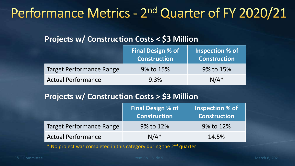### Performance Metrics - 2<sup>nd</sup> Quarter of FY 2020/21

#### **Projects w/ Construction Costs < \$3 Million**

|                                 | <b>Final Design % of</b><br><b>Construction</b> | Inspection % of<br><b>Construction</b> |
|---------------------------------|-------------------------------------------------|----------------------------------------|
| <b>Target Performance Range</b> | 9% to 15%                                       | 9% to 15%                              |
| <b>Actual Performance</b>       | 9.3%                                            | $N/A^*$                                |

#### **Projects w/ Construction Costs > \$3 Million**

|                                 | <b>Final Design % of</b><br>Construction | <b>Inspection % of</b><br>Construction |
|---------------------------------|------------------------------------------|----------------------------------------|
| <b>Target Performance Range</b> | 9% to 12%                                | 9% to 12%                              |
| <b>Actual Performance</b>       | $N/A^*$                                  | 14.5%                                  |

No project was completed in this category during the  $2<sup>nd</sup>$  quarter